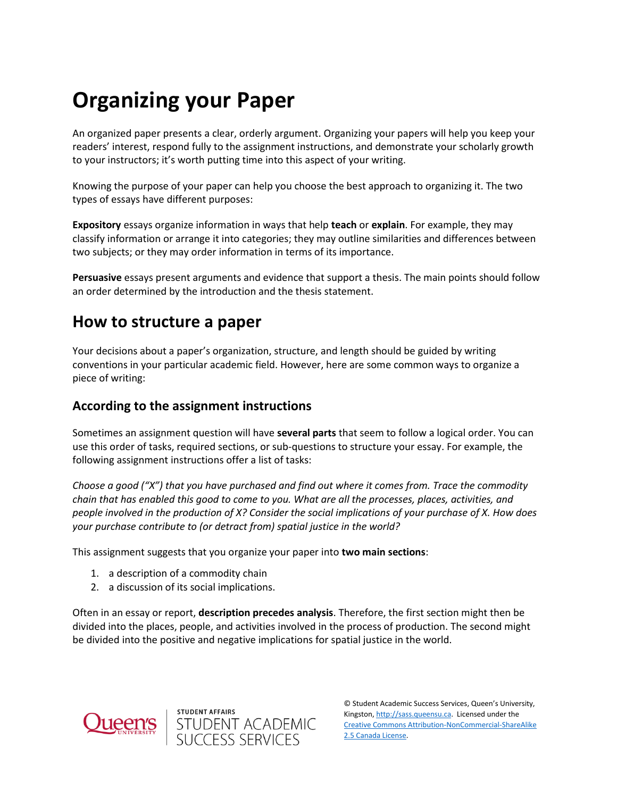# **Organizing your Paper**

An organized paper presents a clear, orderly argument. Organizing your papers will help you keep your readers' interest, respond fully to the assignment instructions, and demonstrate your scholarly growth to your instructors; it's worth putting time into this aspect of your writing.

Knowing the purpose of your paper can help you choose the best approach to organizing it. The two types of essays have different purposes:

**Expository** essays organize information in ways that help **teach** or **explain**. For example, they may classify information or arrange it into categories; they may outline similarities and differences between two subjects; or they may order information in terms of its importance.

**Persuasive** essays present arguments and evidence that support a thesis. The main points should follow an order determined by the introduction and the thesis statement.

## **How to structure a paper**

Your decisions about a paper's organization, structure, and length should be guided by writing conventions in your particular academic field. However, here are some common ways to organize a piece of writing:

## **According to the assignment instructions**

Sometimes an assignment question will have **several parts** that seem to follow a logical order. You can use this order of tasks, required sections, or sub-questions to structure your essay. For example, the following assignment instructions offer a list of tasks:

*Choose a good ("X") that you have purchased and find out where it comes from. Trace the commodity chain that has enabled this good to come to you. What are all the processes, places, activities, and people involved in the production of X? Consider the social implications of your purchase of X. How does your purchase contribute to (or detract from) spatial justice in the world?*

This assignment suggests that you organize your paper into **two main sections**:

- 1. a description of a commodity chain
- 2. a discussion of its social implications.

Often in an essay or report, **description precedes analysis**. Therefore, the first section might then be divided into the places, people, and activities involved in the process of production. The second might be divided into the positive and negative implications for spatial justice in the world.





© Student Academic Success Services, Queen's University, Kingston[, http://sass.queensu.ca.](http://sass.queensu.ca/) Licensed under the [Creative Commons Attribution-NonCommercial-ShareAlike](http://creativecommons.org/licenses/by-nc-sa/2.5/ca/)  [2.5 Canada License.](http://creativecommons.org/licenses/by-nc-sa/2.5/ca/)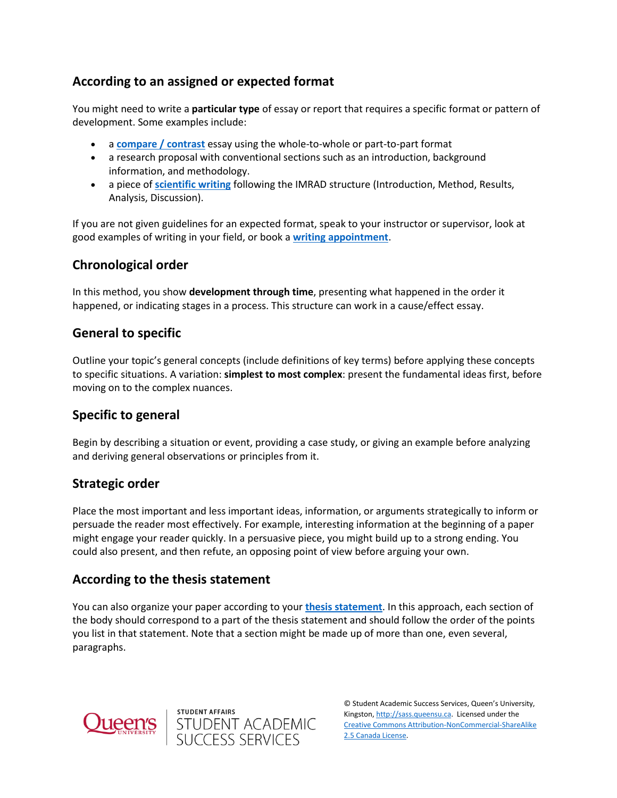## **According to an assigned or expected format**

You might need to write a **particular type** of essay or report that requires a specific format or pattern of development. Some examples include:

- a **[compare / contrast](https://wp3-dev.its.queensu.ca/ha/sasswww/resources/compare-and-contrast-essays)** essay using the whole-to-whole or part-to-part format
- a research proposal with conventional sections such as an introduction, background information, and methodology.
- a piece of **[scientific writing](https://wp3-dev.its.queensu.ca/ha/sasswww/resources/types-and-conventions-science-writing)** following the IMRAD structure (Introduction, Method, Results, Analysis, Discussion).

If you are not given guidelines for an expected format, speak to your instructor or supervisor, look at good examples of writing in your field, or book a **[writing appointment](https://wp3-dev.its.queensu.ca/ha/sasswww/academic-support/appointments)**.

## **Chronological order**

In this method, you show **development through time**, presenting what happened in the order it happened, or indicating stages in a process. This structure can work in a cause/effect essay.

## **General to specific**

Outline your topic's general concepts (include definitions of key terms) before applying these concepts to specific situations. A variation: **simplest to most complex**: present the fundamental ideas first, before moving on to the complex nuances.

## **Specific to general**

Begin by describing a situation or event, providing a case study, or giving an example before analyzing and deriving general observations or principles from it.

## **Strategic order**

Place the most important and less important ideas, information, or arguments strategically to inform or persuade the reader most effectively. For example, interesting information at the beginning of a paper might engage your reader quickly. In a persuasive piece, you might build up to a strong ending. You could also present, and then refute, an opposing point of view before arguing your own.

## **According to the thesis statement**

You can also organize your paper according to your **[thesis statement](https://wp3-dev.its.queensu.ca/ha/sasswww/resources/thesis-statements)**. In this approach, each section of the body should correspond to a part of the thesis statement and should follow the order of the points you list in that statement. Note that a section might be made up of more than one, even several, paragraphs.

student affairs<br>STUDENT ACADEMIC<br>SUCCESS SERVICES



© Student Academic Success Services, Queen's University, Kingston[, http://sass.queensu.ca.](http://sass.queensu.ca/) Licensed under the [Creative Commons Attribution-NonCommercial-ShareAlike](http://creativecommons.org/licenses/by-nc-sa/2.5/ca/)  [2.5 Canada License.](http://creativecommons.org/licenses/by-nc-sa/2.5/ca/)